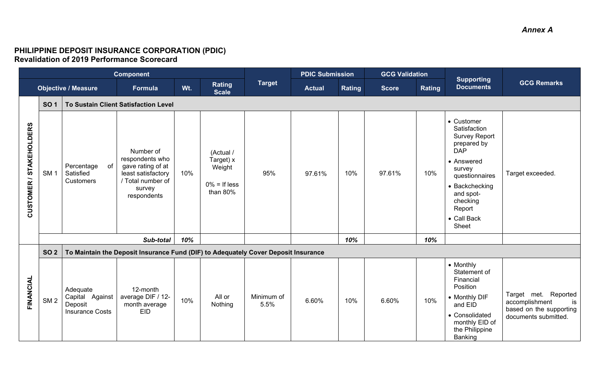## **PHILIPPINE DEPOSIT INSURANCE CORPORATION (PDIC) Revalidation of 2019 Performance Scorecard**

| <b>Component</b>        |                 |                                                                  |                                                                                                                       |     |                                                                 | <b>PDIC Submission</b> |               | <b>GCG Validation</b> |              |               |                                                                                                                                                                                                        |                                                                                                 |
|-------------------------|-----------------|------------------------------------------------------------------|-----------------------------------------------------------------------------------------------------------------------|-----|-----------------------------------------------------------------|------------------------|---------------|-----------------------|--------------|---------------|--------------------------------------------------------------------------------------------------------------------------------------------------------------------------------------------------------|-------------------------------------------------------------------------------------------------|
|                         |                 | <b>Objective / Measure</b>                                       | Formula                                                                                                               | Wt. | Rating<br><b>Scale</b>                                          | <b>Target</b>          | <b>Actual</b> | Rating                | <b>Score</b> | <b>Rating</b> | <b>Supporting</b><br><b>Documents</b>                                                                                                                                                                  | <b>GCG Remarks</b>                                                                              |
|                         | <b>SO1</b>      |                                                                  | <b>To Sustain Client Satisfaction Level</b>                                                                           |     |                                                                 |                        |               |                       |              |               |                                                                                                                                                                                                        |                                                                                                 |
| CUSTOMER / STAKEHOLDERS | SM <sub>1</sub> | of<br>Percentage<br>Satisfied<br>Customers                       | Number of<br>respondents who<br>gave rating of at<br>least satisfactory<br>/ Total number of<br>survey<br>respondents | 10% | (Actual /<br>Target) x<br>Weight<br>$0\% =$ If less<br>than 80% | 95%                    | 97.61%        | 10%                   | 97.61%       | 10%           | • Customer<br>Satisfaction<br><b>Survey Report</b><br>prepared by<br><b>DAP</b><br>• Answered<br>survey<br>questionnaires<br>• Backchecking<br>and spot-<br>checking<br>Report<br>• Call Back<br>Sheet | Target exceeded.                                                                                |
|                         |                 |                                                                  | Sub-total                                                                                                             | 10% |                                                                 |                        |               | 10%                   |              | 10%           |                                                                                                                                                                                                        |                                                                                                 |
|                         | <b>SO 2</b>     |                                                                  | To Maintain the Deposit Insurance Fund (DIF) to Adequately Cover Deposit Insurance                                    |     |                                                                 |                        |               |                       |              |               |                                                                                                                                                                                                        |                                                                                                 |
| FINANCIAL               | SM <sub>2</sub> | Adequate<br>Capital Against<br>Deposit<br><b>Insurance Costs</b> | 12-month<br>average DIF / 12-<br>month average<br><b>EID</b>                                                          | 10% | All or<br>Nothing                                               | Minimum of<br>5.5%     | 6.60%         | 10%                   | 6.60%        | 10%           | • Monthly<br>Statement of<br>Financial<br>Position<br>• Monthly DIF<br>and EID<br>• Consolidated<br>monthly EID of<br>the Philippine<br>Banking                                                        | Target met. Reported<br>is<br>accomplishment<br>based on the supporting<br>documents submitted. |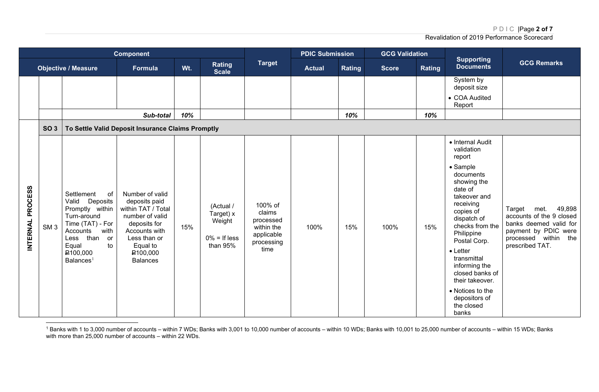PDIC |Page **2 of 7**

<span id="page-1-0"></span>Revalidation of 2019 Performance Scorecard

| <b>Component</b> |                 |                                                                                                                                                                                                 |                                                                                                                                                                                   |     |                                                                   |                                                                                  | <b>PDIC Submission</b> |        | <b>GCG Validation</b> |        |                                                                                                                                                                                                                                                                                                                                                             |                                                                                                                                                   |
|------------------|-----------------|-------------------------------------------------------------------------------------------------------------------------------------------------------------------------------------------------|-----------------------------------------------------------------------------------------------------------------------------------------------------------------------------------|-----|-------------------------------------------------------------------|----------------------------------------------------------------------------------|------------------------|--------|-----------------------|--------|-------------------------------------------------------------------------------------------------------------------------------------------------------------------------------------------------------------------------------------------------------------------------------------------------------------------------------------------------------------|---------------------------------------------------------------------------------------------------------------------------------------------------|
|                  |                 | <b>Objective / Measure</b>                                                                                                                                                                      | <b>Formula</b>                                                                                                                                                                    | Wt. | <b>Rating</b><br><b>Scale</b>                                     | <b>Target</b>                                                                    | <b>Actual</b>          | Rating | <b>Score</b>          | Rating | <b>Supporting</b><br><b>Documents</b>                                                                                                                                                                                                                                                                                                                       | <b>GCG Remarks</b>                                                                                                                                |
|                  |                 |                                                                                                                                                                                                 |                                                                                                                                                                                   |     |                                                                   |                                                                                  |                        |        |                       |        | System by<br>deposit size                                                                                                                                                                                                                                                                                                                                   |                                                                                                                                                   |
|                  |                 |                                                                                                                                                                                                 |                                                                                                                                                                                   |     |                                                                   |                                                                                  |                        |        |                       |        | • COA Audited<br>Report                                                                                                                                                                                                                                                                                                                                     |                                                                                                                                                   |
|                  |                 |                                                                                                                                                                                                 | Sub-total                                                                                                                                                                         | 10% |                                                                   |                                                                                  |                        | 10%    |                       | 10%    |                                                                                                                                                                                                                                                                                                                                                             |                                                                                                                                                   |
|                  | SO <sub>3</sub> |                                                                                                                                                                                                 | To Settle Valid Deposit Insurance Claims Promptly                                                                                                                                 |     |                                                                   |                                                                                  |                        |        |                       |        |                                                                                                                                                                                                                                                                                                                                                             |                                                                                                                                                   |
| INTERNAL PROCESS | SM <sub>3</sub> | Settlement<br>of<br>Valid Deposits<br>Promptly within<br>Turn-around<br>Time (TAT) - For<br>with<br>Accounts<br>Less than<br>or<br>to<br>Equal<br>P <sub>100,000</sub><br>Balances <sup>1</sup> | Number of valid<br>deposits paid<br>within TAT / Total<br>number of valid<br>deposits for<br>Accounts with<br>Less than or<br>Equal to<br>P <sub>100,000</sub><br><b>Balances</b> | 15% | (Actual /<br>Target) x<br>Weight<br>$0\% =$ If less<br>than $95%$ | 100% of<br>claims<br>processed<br>within the<br>applicable<br>processing<br>time | 100%                   | 15%    | 100%                  | 15%    | • Internal Audit<br>validation<br>report<br>• Sample<br>documents<br>showing the<br>date of<br>takeover and<br>receiving<br>copies of<br>dispatch of<br>checks from the<br>Philippine<br>Postal Corp.<br>$\bullet$ Letter<br>transmittal<br>informing the<br>closed banks of<br>their takeover.<br>• Notices to the<br>depositors of<br>the closed<br>banks | 49,898<br>Target<br>met.<br>accounts of the 9 closed<br>banks deemed valid for<br>payment by PDIC were<br>processed within the<br>prescribed TAT. |

 $^{\rm 1}$  Banks with 1 to 3,000 number of accounts – within 7 WDs; Banks with 3,001 to 10,000 number of accounts – within 10 WDs; Banks with 10,001 to 25,000 number of accounts – within 15 WDs; Banks with more than 25,000 number of accounts – within 22 WDs.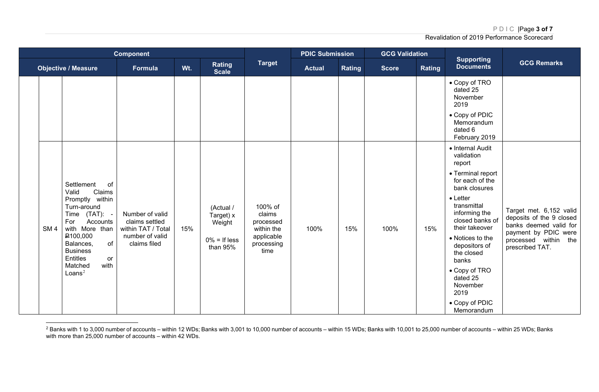<span id="page-2-0"></span>PDIC |Page **3 of 7**

| <b>Component</b> |                 |                                                                                                                                                                                                                                          |                                                                                            |     |                                                                 |                                                                                  | <b>PDIC Submission</b> |               | <b>GCG Validation</b> |        |                                                                                                                                                                                                                                                                                                                                         |                                                                                                                                                  |
|------------------|-----------------|------------------------------------------------------------------------------------------------------------------------------------------------------------------------------------------------------------------------------------------|--------------------------------------------------------------------------------------------|-----|-----------------------------------------------------------------|----------------------------------------------------------------------------------|------------------------|---------------|-----------------------|--------|-----------------------------------------------------------------------------------------------------------------------------------------------------------------------------------------------------------------------------------------------------------------------------------------------------------------------------------------|--------------------------------------------------------------------------------------------------------------------------------------------------|
|                  |                 | <b>Objective / Measure</b>                                                                                                                                                                                                               | Formula                                                                                    | Wt. | Rating<br><b>Scale</b>                                          | <b>Target</b>                                                                    | <b>Actual</b>          | <b>Rating</b> | <b>Score</b>          | Rating | <b>Supporting</b><br><b>Documents</b>                                                                                                                                                                                                                                                                                                   | <b>GCG Remarks</b>                                                                                                                               |
|                  |                 |                                                                                                                                                                                                                                          |                                                                                            |     |                                                                 |                                                                                  |                        |               |                       |        | • Copy of TRO<br>dated 25<br>November<br>2019<br>• Copy of PDIC<br>Memorandum<br>dated 6<br>February 2019                                                                                                                                                                                                                               |                                                                                                                                                  |
|                  | SM <sub>4</sub> | Settlement<br>of<br>Valid<br>Claims<br>Promptly within<br>Turn-around<br>Time (TAT): -<br>Accounts<br>For<br>with More than<br>P100,000<br>of<br>Balances,<br><b>Business</b><br>Entitles<br>or<br>with<br>Matched<br>Loans <sup>2</sup> | Number of valid<br>claims settled<br>within TAT / Total<br>number of valid<br>claims filed | 15% | (Actual /<br>Target) x<br>Weight<br>$0\% =$ If less<br>than 95% | 100% of<br>claims<br>processed<br>within the<br>applicable<br>processing<br>time | 100%                   | 15%           | 100%                  | 15%    | • Internal Audit<br>validation<br>report<br>• Terminal report<br>for each of the<br>bank closures<br>$\bullet$ Letter<br>transmittal<br>informing the<br>closed banks of<br>their takeover<br>• Notices to the<br>depositors of<br>the closed<br>banks<br>• Copy of TRO<br>dated 25<br>November<br>2019<br>• Copy of PDIC<br>Memorandum | Target met. 6,152 valid<br>deposits of the 9 closed<br>banks deemed valid for<br>payment by PDIC were<br>processed within the<br>prescribed TAT. |

 $^2$  Banks with 1 to 3,000 number of accounts – within 12 WDs; Banks with 3,001 to 10,000 number of accounts – within 15 WDs; Banks with 10,001 to 25,000 number of accounts – within 25 WDs; Banks with more than 25,000 number of accounts – within 42 WDs.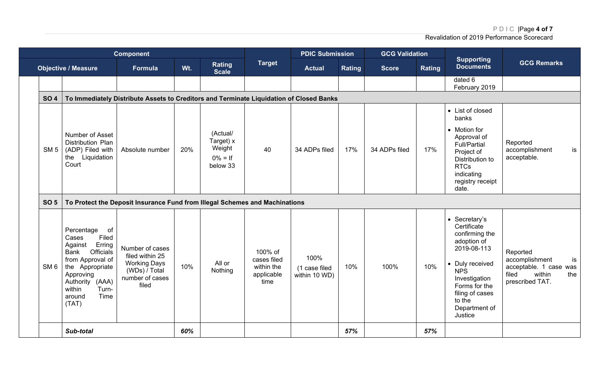PDIC |Page **4 of 7**

|                 |                                                                                                                                                                                                   | <b>Component</b>                                                                                       |     |                                                           |                                                            | <b>PDIC Submission</b>                 |               | <b>GCG Validation</b> |               | <b>Supporting</b>                                                                                                                                                                                        |                                                                                                         |  |  |
|-----------------|---------------------------------------------------------------------------------------------------------------------------------------------------------------------------------------------------|--------------------------------------------------------------------------------------------------------|-----|-----------------------------------------------------------|------------------------------------------------------------|----------------------------------------|---------------|-----------------------|---------------|----------------------------------------------------------------------------------------------------------------------------------------------------------------------------------------------------------|---------------------------------------------------------------------------------------------------------|--|--|
|                 | <b>Objective / Measure</b>                                                                                                                                                                        | Formula                                                                                                | Wt. | Rating<br><b>Scale</b>                                    | <b>Target</b>                                              | <b>Actual</b>                          | <b>Rating</b> | <b>Score</b>          | <b>Rating</b> | <b>Documents</b>                                                                                                                                                                                         | <b>GCG Remarks</b>                                                                                      |  |  |
|                 |                                                                                                                                                                                                   |                                                                                                        |     |                                                           |                                                            |                                        |               |                       |               | dated 6<br>February 2019                                                                                                                                                                                 |                                                                                                         |  |  |
| <b>SO4</b>      | To Immediately Distribute Assets to Creditors and Terminate Liquidation of Closed Banks                                                                                                           |                                                                                                        |     |                                                           |                                                            |                                        |               |                       |               |                                                                                                                                                                                                          |                                                                                                         |  |  |
| SM <sub>5</sub> | Number of Asset<br><b>Distribution Plan</b><br>(ADP) Filed with<br>the Liquidation<br>Court                                                                                                       | Absolute number                                                                                        | 20% | (Actual/<br>Target) x<br>Weight<br>$0\% = If$<br>below 33 | 40                                                         | 34 ADPs filed                          | 17%           | 34 ADPs filed         | 17%           | • List of closed<br>banks<br>• Motion for<br>Approval of<br><b>Full/Partial</b><br>Project of<br>Distribution to<br><b>RTCs</b><br>indicating<br>registry receipt<br>date.                               | Reported<br>accomplishment<br>is<br>acceptable.                                                         |  |  |
| <b>SO 5</b>     |                                                                                                                                                                                                   | To Protect the Deposit Insurance Fund from Illegal Schemes and Machinations                            |     |                                                           |                                                            |                                        |               |                       |               |                                                                                                                                                                                                          |                                                                                                         |  |  |
| SM <sub>6</sub> | Percentage<br>of<br>Filed<br>Cases<br>Erring<br>Against<br>Officials<br>Bank<br>from Approval of<br>the Appropriate<br>Approving<br>Authority (AAA)<br>Turn-<br>within<br>Time<br>around<br>(TAT) | Number of cases<br>filed within 25<br><b>Working Days</b><br>(WDs) / Total<br>number of cases<br>filed | 10% | All or<br>Nothing                                         | 100% of<br>cases filed<br>within the<br>applicable<br>time | 100%<br>(1 case filed<br>within 10 WD) | 10%           | 100%                  | 10%           | • Secretary's<br>Certificate<br>confirming the<br>adoption of<br>2019-08-113<br>• Duly received<br><b>NPS</b><br>Investigation<br>Forms for the<br>filing of cases<br>to the<br>Department of<br>Justice | Reported<br>accomplishment<br>is<br>acceptable. 1 case was<br>filed<br>within<br>the<br>prescribed TAT. |  |  |
|                 | Sub-total                                                                                                                                                                                         |                                                                                                        | 60% |                                                           |                                                            |                                        | 57%           |                       | 57%           |                                                                                                                                                                                                          |                                                                                                         |  |  |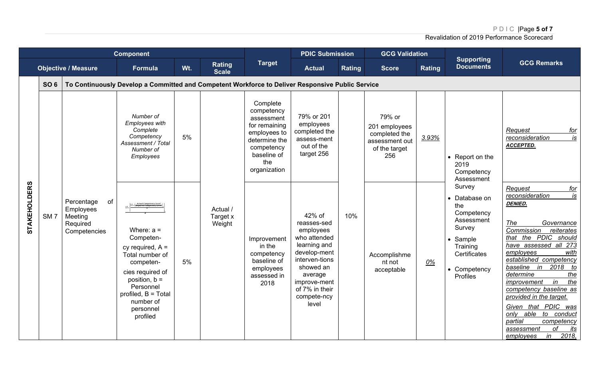PDIC |Page **5 of 7**

| <b>Component</b>    |                 |                                                                      |                                                                                                                                                                                                    |     |                                |                                                                                                                                            | <b>PDIC Submission</b>                                                                                                                                                                 |        | <b>GCG Validation</b>                                                              |        | <b>Supporting</b>                                                                                                                               |                                                                                                                                                                                                                                                                                                                                                                                                                                                                          |  |
|---------------------|-----------------|----------------------------------------------------------------------|----------------------------------------------------------------------------------------------------------------------------------------------------------------------------------------------------|-----|--------------------------------|--------------------------------------------------------------------------------------------------------------------------------------------|----------------------------------------------------------------------------------------------------------------------------------------------------------------------------------------|--------|------------------------------------------------------------------------------------|--------|-------------------------------------------------------------------------------------------------------------------------------------------------|--------------------------------------------------------------------------------------------------------------------------------------------------------------------------------------------------------------------------------------------------------------------------------------------------------------------------------------------------------------------------------------------------------------------------------------------------------------------------|--|
|                     |                 | <b>Objective / Measure</b>                                           | <b>Formula</b>                                                                                                                                                                                     | Wt. | Rating<br><b>Scale</b>         | <b>Target</b>                                                                                                                              | <b>Actual</b>                                                                                                                                                                          | Rating | <b>Score</b>                                                                       | Rating | <b>Documents</b>                                                                                                                                | <b>GCG Remarks</b>                                                                                                                                                                                                                                                                                                                                                                                                                                                       |  |
|                     | <b>SO 6</b>     |                                                                      | To Continuously Develop a Committed and Competent Workforce to Deliver Responsive Public Service                                                                                                   |     |                                |                                                                                                                                            |                                                                                                                                                                                        |        |                                                                                    |        |                                                                                                                                                 |                                                                                                                                                                                                                                                                                                                                                                                                                                                                          |  |
|                     |                 |                                                                      | Number of<br><b>Employees with</b><br>Complete<br>Competency<br>Assessment / Total<br>Number of<br>Employees                                                                                       | 5%  |                                | Complete<br>competency<br>assessment<br>for remaining<br>employees to<br>determine the<br>competency<br>baseline of<br>the<br>organization | 79% or 201<br>employees<br>completed the<br>assess-ment<br>out of the<br>target 256                                                                                                    |        | 79% or<br>201 employees<br>completed the<br>assessment out<br>of the target<br>256 | 3.93%  | • Report on the<br>2019<br>Competency<br>Assessment                                                                                             | Request<br><u>for</u><br>$\overline{is}$<br>reconsideration<br>ACCEPTED.                                                                                                                                                                                                                                                                                                                                                                                                 |  |
| <b>STAKEHOLDERS</b> | SM <sub>7</sub> | of<br>Percentage<br>Employees<br>Meeting<br>Required<br>Competencies | Where: $a =$<br>Competen-<br>cy required, $A =$<br>Total number of<br>competen-<br>cies required of<br>position, $b =$<br>Personnel<br>profiled, $B = Total$<br>number of<br>personnel<br>profiled | 5%  | Actual /<br>Target x<br>Weight | Improvement<br>in the<br>competency<br>baseline of<br>employees<br>assessed in<br>2018                                                     | 42% of<br>reasses-sed<br>employees<br>who attended<br>learning and<br>develop-ment<br>interven-tions<br>showed an<br>average<br>improve-ment<br>of 7% in their<br>compete-ncy<br>level | 10%    | Accomplishme<br>nt not<br>acceptable                                               | $0\%$  | Survey<br>• Database on<br>the<br>Competency<br>Assessment<br>Survey<br>• Sample<br>Training<br>Certificates<br>• Competency<br><b>Profiles</b> | Request<br>for<br>is<br>reconsideration<br><b>DENIED.</b><br>The<br>Governance<br>Commission<br>reiterates<br>that the PDIC should<br>have assessed all 273<br>employees<br>with<br>established competency<br>baseline in 2018 to<br>determine<br>the<br>the<br>improvement<br>in<br>competency baseline as<br>provided in the target.<br>Given that PDIC was<br>able to conduct<br>only<br>partial<br>competency<br>оf<br>its<br>assessment<br>2018,<br>in<br>employees |  |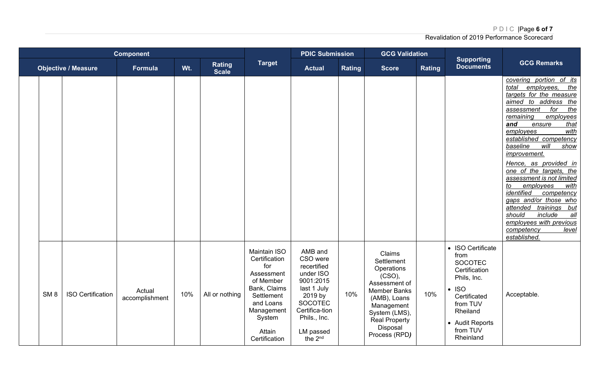## PDIC |Page **6 of 7**

| <b>Component</b> |                 |                            |                          |     |                               | <b>PDIC Submission</b>                                                                                                                                               |                                                                                                                                                                                | <b>GCG Validation</b> |                                                                                                                                                                                   |        |                                                                                                                                                                                |                                                                                                                                                                                                                                                                                                                                                                                                                                                                                                                                                                             |
|------------------|-----------------|----------------------------|--------------------------|-----|-------------------------------|----------------------------------------------------------------------------------------------------------------------------------------------------------------------|--------------------------------------------------------------------------------------------------------------------------------------------------------------------------------|-----------------------|-----------------------------------------------------------------------------------------------------------------------------------------------------------------------------------|--------|--------------------------------------------------------------------------------------------------------------------------------------------------------------------------------|-----------------------------------------------------------------------------------------------------------------------------------------------------------------------------------------------------------------------------------------------------------------------------------------------------------------------------------------------------------------------------------------------------------------------------------------------------------------------------------------------------------------------------------------------------------------------------|
|                  |                 | <b>Objective / Measure</b> | Formula                  | Wt. | <b>Rating</b><br><b>Scale</b> | <b>Target</b>                                                                                                                                                        | <b>Actual</b>                                                                                                                                                                  | <b>Rating</b>         | <b>Score</b>                                                                                                                                                                      | Rating | <b>Supporting</b><br><b>Documents</b>                                                                                                                                          | <b>GCG Remarks</b>                                                                                                                                                                                                                                                                                                                                                                                                                                                                                                                                                          |
|                  |                 |                            |                          |     |                               |                                                                                                                                                                      |                                                                                                                                                                                |                       |                                                                                                                                                                                   |        |                                                                                                                                                                                | covering portion of its<br>employees,<br>the<br>total<br>targets for the measure<br>aimed to address the<br>for<br>the<br>assessment<br>employees<br>remaining<br>that<br>and<br>ensure<br>employees<br>with<br>established competency<br>baseline<br>will<br>show<br>improvement.<br>Hence, as provided in<br>one of the targets, the<br>assessment is not limited<br>employees<br>with<br>to<br>identified<br>competency<br>gaps and/or those who<br>attended trainings but<br>should<br>include<br>all<br>employees with previous<br>competency<br>level<br>established. |
|                  | SM <sub>8</sub> | <b>ISO Certification</b>   | Actual<br>accomplishment | 10% | All or nothing                | <b>Maintain ISO</b><br>Certification<br>for<br>Assessment<br>of Member<br>Bank, Claims<br>Settlement<br>and Loans<br>Management<br>System<br>Attain<br>Certification | AMB and<br>CSO were<br>recertified<br>under ISO<br>9001:2015<br>last 1 July<br>2019 by<br><b>SOCOTEC</b><br>Certifica-tion<br>Phils., Inc.<br>LM passed<br>the 2 <sup>nd</sup> | 10%                   | Claims<br>Settlement<br>Operations<br>(CSO),<br>Assessment of<br>Member Banks<br>(AMB), Loans<br>Management<br>System (LMS),<br><b>Real Property</b><br>Disposal<br>Process (RPD) | 10%    | • ISO Certificate<br>from<br><b>SOCOTEC</b><br>Certification<br>Phils, Inc.<br>$\cdot$ ISO<br>Certificated<br>from TUV<br>Rheiland<br>• Audit Reports<br>from TUV<br>Rheinland | Acceptable.                                                                                                                                                                                                                                                                                                                                                                                                                                                                                                                                                                 |